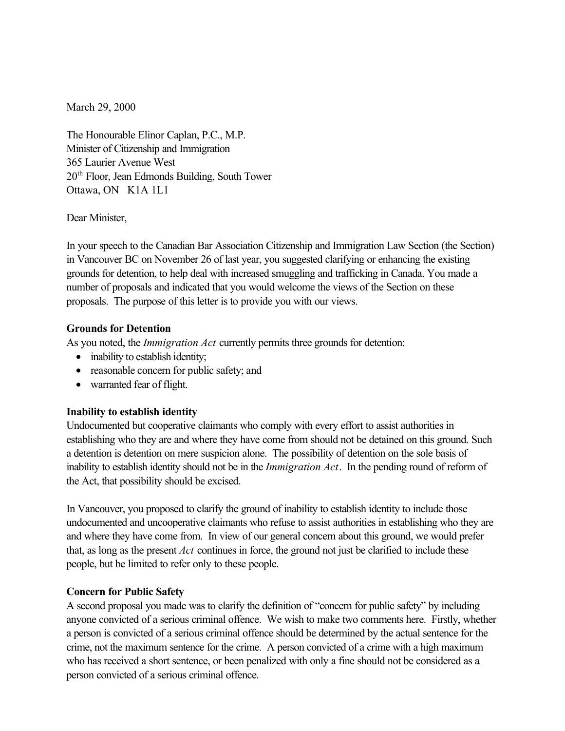March 29, 2000

The Honourable Elinor Caplan, P.C., M.P. Minister of Citizenship and Immigration 365 Laurier Avenue West 20th Floor, Jean Edmonds Building, South Tower Ottawa, ON K1A 1L1

Dear Minister,

In your speech to the Canadian Bar Association Citizenship and Immigration Law Section (the Section) in Vancouver BC on November 26 of last year, you suggested clarifying or enhancing the existing grounds for detention, to help deal with increased smuggling and trafficking in Canada. You made a number of proposals and indicated that you would welcome the views of the Section on these proposals. The purpose of this letter is to provide you with our views.

## **Grounds for Detention**

As you noted, the *Immigration Act* currently permits three grounds for detention:

- inability to establish identity;
- reasonable concern for public safety; and
- warranted fear of flight.

## **Inability to establish identity**

Undocumented but cooperative claimants who comply with every effort to assist authorities in establishing who they are and where they have come from should not be detained on this ground. Such a detention is detention on mere suspicion alone. The possibility of detention on the sole basis of inability to establish identity should not be in the *Immigration Act*. In the pending round of reform of the Act, that possibility should be excised.

In Vancouver, you proposed to clarify the ground of inability to establish identity to include those undocumented and uncooperative claimants who refuse to assist authorities in establishing who they are and where they have come from. In view of our general concern about this ground, we would prefer that, as long as the present *Act* continues in force, the ground not just be clarified to include these people, but be limited to refer only to these people.

## **Concern for Public Safety**

A second proposal you made was to clarify the definition of "concern for public safety" by including anyone convicted of a serious criminal offence. We wish to make two comments here. Firstly, whether a person is convicted of a serious criminal offence should be determined by the actual sentence for the crime, not the maximum sentence for the crime. A person convicted of a crime with a high maximum who has received a short sentence, or been penalized with only a fine should not be considered as a person convicted of a serious criminal offence.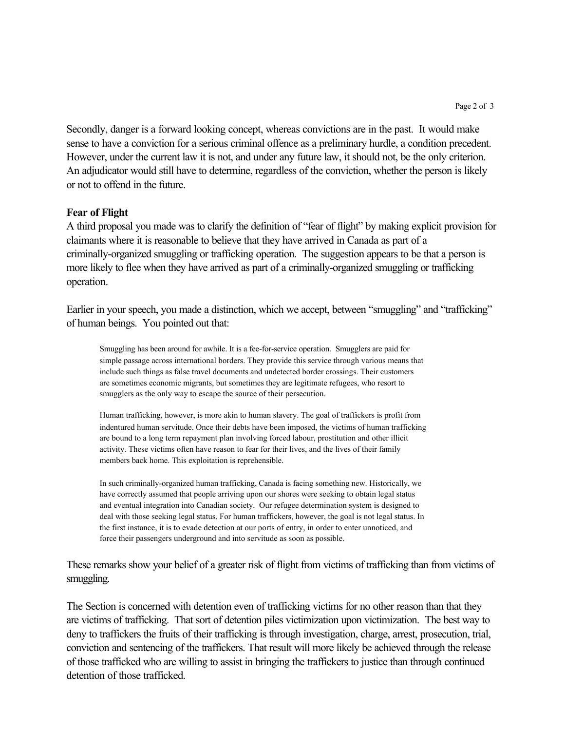Secondly, danger is a forward looking concept, whereas convictions are in the past. It would make sense to have a conviction for a serious criminal offence as a preliminary hurdle, a condition precedent. However, under the current law it is not, and under any future law, it should not, be the only criterion. An adjudicator would still have to determine, regardless of the conviction, whether the person is likely or not to offend in the future.

## **Fear of Flight**

A third proposal you made was to clarify the definition of "fear of flight" by making explicit provision for claimants where it is reasonable to believe that they have arrived in Canada as part of a criminally-organized smuggling or trafficking operation. The suggestion appears to be that a person is more likely to flee when they have arrived as part of a criminally-organized smuggling or trafficking operation.

Earlier in your speech, you made a distinction, which we accept, between "smuggling" and "trafficking" of human beings. You pointed out that:

Smuggling has been around for awhile. It is a fee-for-service operation. Smugglers are paid for simple passage across international borders. They provide this service through various means that include such things as false travel documents and undetected border crossings. Their customers are sometimes economic migrants, but sometimes they are legitimate refugees, who resort to smugglers as the only way to escape the source of their persecution.

Human trafficking, however, is more akin to human slavery. The goal of traffickers is profit from indentured human servitude. Once their debts have been imposed, the victims of human trafficking are bound to a long term repayment plan involving forced labour, prostitution and other illicit activity. These victims often have reason to fear for their lives, and the lives of their family members back home. This exploitation is reprehensible.

In such criminally-organized human trafficking, Canada is facing something new. Historically, we have correctly assumed that people arriving upon our shores were seeking to obtain legal status and eventual integration into Canadian society. Our refugee determination system is designed to deal with those seeking legal status. For human traffickers, however, the goal is not legal status. In the first instance, it is to evade detection at our ports of entry, in order to enter unnoticed, and force their passengers underground and into servitude as soon as possible.

These remarks show your belief of a greater risk of flight from victims of trafficking than from victims of smuggling.

The Section is concerned with detention even of trafficking victims for no other reason than that they are victims of trafficking. That sort of detention piles victimization upon victimization. The best way to deny to traffickers the fruits of their trafficking is through investigation, charge, arrest, prosecution, trial, conviction and sentencing of the traffickers. That result will more likely be achieved through the release of those trafficked who are willing to assist in bringing the traffickers to justice than through continued detention of those trafficked.